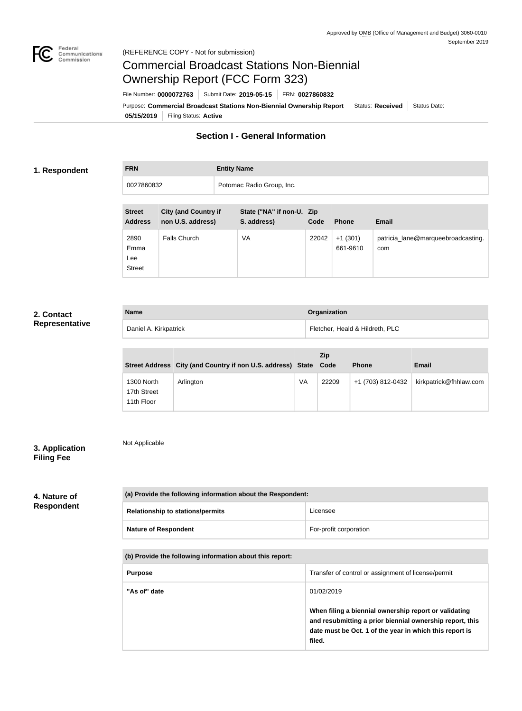

Not Applicable

# Commercial Broadcast Stations Non-Biennial Ownership Report (FCC Form 323)

**05/15/2019** Filing Status: **Active** Purpose: Commercial Broadcast Stations Non-Biennial Ownership Report Status: Received Status Date: File Number: **0000072763** Submit Date: **2019-05-15** FRN: **0027860832**

# **Section I - General Information**

#### **1. Respondent**

## **FRN Entity Name**

| 0027860832 | Potomac Radio Group, Inc. |
|------------|---------------------------|

| <b>Street</b><br><b>Address</b>      | <b>City (and Country if</b><br>non U.S. address) | State ("NA" if non-U. Zip<br>S. address) | Code  | <b>Phone</b>          | <b>Email</b>                              |
|--------------------------------------|--------------------------------------------------|------------------------------------------|-------|-----------------------|-------------------------------------------|
| 2890<br>Emma<br>Lee<br><b>Street</b> | <b>Falls Church</b>                              | VA                                       | 22042 | $+1(301)$<br>661-9610 | patricia_lane@marqueebroadcasting.<br>com |

#### **2. Contact Representative**

| <b>Name</b>           | Organization                    |
|-----------------------|---------------------------------|
| Daniel A. Kirkpatrick | Fletcher, Heald & Hildreth, PLC |

|                                         | Street Address City (and Country if non U.S. address) State Code |    | <b>Zip</b> | <b>Phone</b>      | <b>Email</b>           |
|-----------------------------------------|------------------------------------------------------------------|----|------------|-------------------|------------------------|
| 1300 North<br>17th Street<br>11th Floor | Arlington                                                        | VA | 22209      | +1 (703) 812-0432 | kirkpatrick@fhhlaw.com |

### **3. Application Filing Fee**

#### **4. Nature of Respondent**

| (a) Provide the following information about the Respondent: |                        |  |
|-------------------------------------------------------------|------------------------|--|
| <b>Relationship to stations/permits</b>                     | Licensee               |  |
| <b>Nature of Respondent</b>                                 | For-profit corporation |  |

#### **(b) Provide the following information about this report:**

| <b>Purpose</b> | Transfer of control or assignment of license/permit                                                                                                                                    |
|----------------|----------------------------------------------------------------------------------------------------------------------------------------------------------------------------------------|
| "As of" date   | 01/02/2019                                                                                                                                                                             |
|                | When filing a biennial ownership report or validating<br>and resubmitting a prior biennial ownership report, this<br>date must be Oct. 1 of the year in which this report is<br>filed. |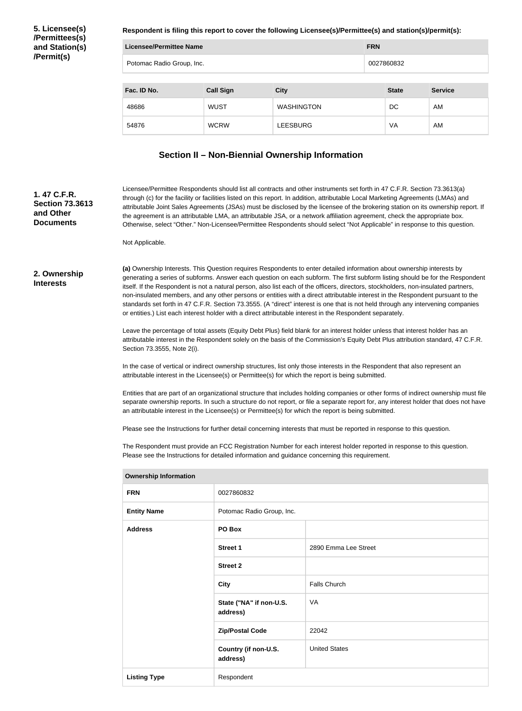**5. Licensee(s) /Permittees(s) and Station(s) /Permit(s)**

**Respondent is filing this report to cover the following Licensee(s)/Permittee(s) and station(s)/permit(s):**

| Licensee/Permittee Name                        |             |                   |            |              |                |
|------------------------------------------------|-------------|-------------------|------------|--------------|----------------|
| Potomac Radio Group, Inc.                      |             |                   | 0027860832 |              |                |
| <b>Call Sign</b><br>Fac. ID No.<br><b>City</b> |             |                   |            | <b>State</b> | <b>Service</b> |
| 48686                                          | <b>WUST</b> | <b>WASHINGTON</b> |            | DC           | AM             |
| 54876                                          | <b>WCRW</b> | <b>LEESBURG</b>   |            | VA           | AM             |
|                                                |             |                   |            |              |                |

#### **Section II – Non-Biennial Ownership Information**

Licensee/Permittee Respondents should list all contracts and other instruments set forth in 47 C.F.R. Section 73.3613(a) through (c) for the facility or facilities listed on this report. In addition, attributable Local Marketing Agreements (LMAs) and attributable Joint Sales Agreements (JSAs) must be disclosed by the licensee of the brokering station on its ownership report. If the agreement is an attributable LMA, an attributable JSA, or a network affiliation agreement, check the appropriate box. Otherwise, select "Other." Non-Licensee/Permittee Respondents should select "Not Applicable" in response to this question.

Not Applicable.

**2. Ownership Interests**

**1. 47 C.F.R. Section 73.3613** 

**and Other Documents**

> **(a)** Ownership Interests. This Question requires Respondents to enter detailed information about ownership interests by generating a series of subforms. Answer each question on each subform. The first subform listing should be for the Respondent itself. If the Respondent is not a natural person, also list each of the officers, directors, stockholders, non-insulated partners, non-insulated members, and any other persons or entities with a direct attributable interest in the Respondent pursuant to the standards set forth in 47 C.F.R. Section 73.3555. (A "direct" interest is one that is not held through any intervening companies or entities.) List each interest holder with a direct attributable interest in the Respondent separately.

> Leave the percentage of total assets (Equity Debt Plus) field blank for an interest holder unless that interest holder has an attributable interest in the Respondent solely on the basis of the Commission's Equity Debt Plus attribution standard, 47 C.F.R. Section 73.3555, Note 2(i).

In the case of vertical or indirect ownership structures, list only those interests in the Respondent that also represent an attributable interest in the Licensee(s) or Permittee(s) for which the report is being submitted.

Entities that are part of an organizational structure that includes holding companies or other forms of indirect ownership must file separate ownership reports. In such a structure do not report, or file a separate report for, any interest holder that does not have an attributable interest in the Licensee(s) or Permittee(s) for which the report is being submitted.

Please see the Instructions for further detail concerning interests that must be reported in response to this question.

The Respondent must provide an FCC Registration Number for each interest holder reported in response to this question. Please see the Instructions for detailed information and guidance concerning this requirement.

| <b>FRN</b>          | 0027860832                          |                      |  |
|---------------------|-------------------------------------|----------------------|--|
| <b>Entity Name</b>  | Potomac Radio Group, Inc.           |                      |  |
| <b>Address</b>      | PO Box                              |                      |  |
|                     | <b>Street 1</b>                     | 2890 Emma Lee Street |  |
|                     | <b>Street 2</b>                     |                      |  |
|                     | <b>City</b>                         | <b>Falls Church</b>  |  |
|                     | State ("NA" if non-U.S.<br>address) | VA                   |  |
|                     | <b>Zip/Postal Code</b>              | 22042                |  |
|                     | Country (if non-U.S.<br>address)    | <b>United States</b> |  |
| <b>Listing Type</b> | Respondent                          |                      |  |

**Ownership Information**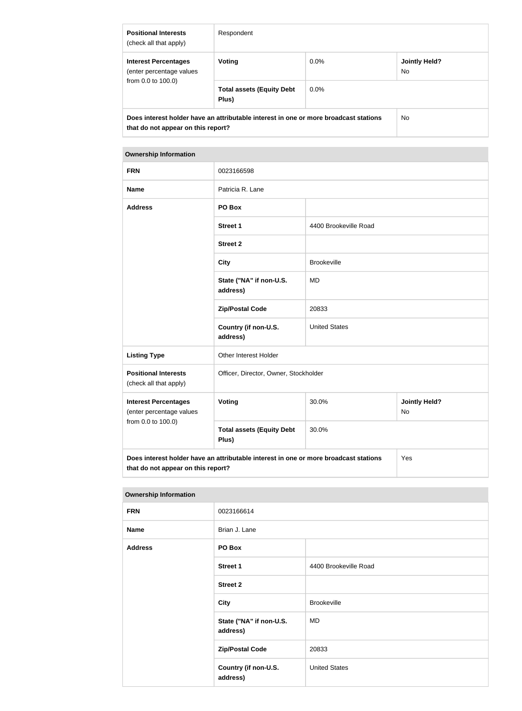| <b>Positional Interests</b><br>(check all that apply)                                                                      | Respondent                                |         |                      |
|----------------------------------------------------------------------------------------------------------------------------|-------------------------------------------|---------|----------------------|
| <b>Interest Percentages</b><br>(enter percentage values<br>from 0.0 to 100.0)                                              | <b>Voting</b>                             | $0.0\%$ | Jointly Held?<br>No. |
|                                                                                                                            | <b>Total assets (Equity Debt</b><br>Plus) | $0.0\%$ |                      |
| Does interest holder have an attributable interest in one or more broadcast stations<br>that do not appear on this report? |                                           |         | No.                  |

#### **Ownership Information**

| <b>FRN</b>                                                                                                                 | 0023166598                                |                       |                            |  |
|----------------------------------------------------------------------------------------------------------------------------|-------------------------------------------|-----------------------|----------------------------|--|
| <b>Name</b>                                                                                                                | Patricia R. Lane                          |                       |                            |  |
| <b>Address</b>                                                                                                             | PO Box                                    |                       |                            |  |
|                                                                                                                            | <b>Street 1</b>                           | 4400 Brookeville Road |                            |  |
|                                                                                                                            | <b>Street 2</b>                           |                       |                            |  |
|                                                                                                                            | <b>City</b>                               | <b>Brookeville</b>    |                            |  |
|                                                                                                                            | State ("NA" if non-U.S.<br>address)       | <b>MD</b>             |                            |  |
|                                                                                                                            | <b>Zip/Postal Code</b>                    | 20833                 |                            |  |
|                                                                                                                            | Country (if non-U.S.<br>address)          | <b>United States</b>  |                            |  |
| <b>Listing Type</b>                                                                                                        | Other Interest Holder                     |                       |                            |  |
| <b>Positional Interests</b><br>(check all that apply)                                                                      | Officer, Director, Owner, Stockholder     |                       |                            |  |
| <b>Interest Percentages</b><br>(enter percentage values                                                                    | Voting                                    | 30.0%                 | <b>Jointly Held?</b><br>No |  |
| from 0.0 to 100.0)                                                                                                         | <b>Total assets (Equity Debt</b><br>Plus) | 30.0%                 |                            |  |
| Does interest holder have an attributable interest in one or more broadcast stations<br>that do not appear on this report? |                                           |                       | Yes                        |  |

#### **Ownership Information**

| <b>FRN</b>     | 0023166614                          |                       |  |
|----------------|-------------------------------------|-----------------------|--|
| <b>Name</b>    | Brian J. Lane                       |                       |  |
| <b>Address</b> | PO Box                              |                       |  |
|                | <b>Street 1</b>                     | 4400 Brookeville Road |  |
|                | <b>Street 2</b>                     |                       |  |
|                | <b>City</b>                         | <b>Brookeville</b>    |  |
|                | State ("NA" if non-U.S.<br>address) | MD                    |  |
|                | <b>Zip/Postal Code</b>              | 20833                 |  |
|                | Country (if non-U.S.<br>address)    | <b>United States</b>  |  |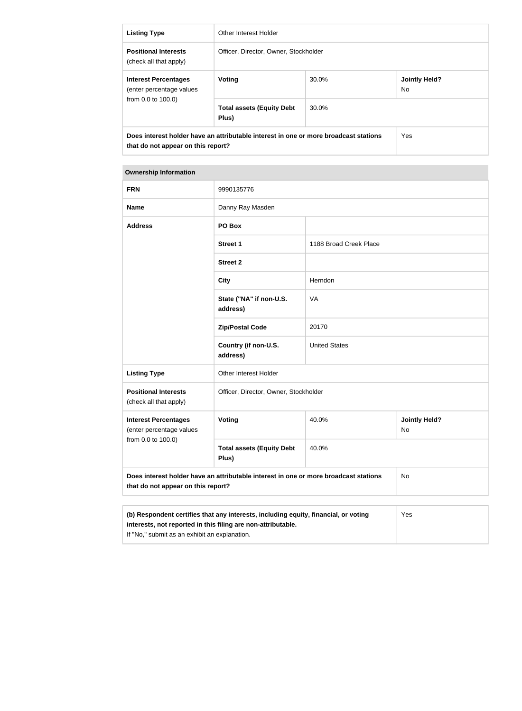| <b>Listing Type</b>                                                                                                        | Other Interest Holder                     |       |                             |
|----------------------------------------------------------------------------------------------------------------------------|-------------------------------------------|-------|-----------------------------|
| <b>Positional Interests</b><br>(check all that apply)                                                                      | Officer, Director, Owner, Stockholder     |       |                             |
| <b>Interest Percentages</b><br>(enter percentage values<br>from 0.0 to 100.0)                                              | Voting                                    | 30.0% | <b>Jointly Held?</b><br>No. |
|                                                                                                                            | <b>Total assets (Equity Debt</b><br>Plus) | 30.0% |                             |
| Does interest holder have an attributable interest in one or more broadcast stations<br>that do not appear on this report? |                                           |       | Yes                         |

#### **Ownership Information**

| <b>FRN</b>                                                                                                                                                 | 9990135776                                |                        |                                   |
|------------------------------------------------------------------------------------------------------------------------------------------------------------|-------------------------------------------|------------------------|-----------------------------------|
| <b>Name</b>                                                                                                                                                | Danny Ray Masden                          |                        |                                   |
| <b>Address</b>                                                                                                                                             | PO Box                                    |                        |                                   |
|                                                                                                                                                            | <b>Street 1</b>                           | 1188 Broad Creek Place |                                   |
|                                                                                                                                                            | <b>Street 2</b>                           |                        |                                   |
|                                                                                                                                                            | <b>City</b>                               | Herndon                |                                   |
|                                                                                                                                                            | State ("NA" if non-U.S.<br>address)       | VA                     |                                   |
|                                                                                                                                                            | <b>Zip/Postal Code</b>                    | 20170                  |                                   |
|                                                                                                                                                            | Country (if non-U.S.<br>address)          | <b>United States</b>   |                                   |
| <b>Listing Type</b>                                                                                                                                        | Other Interest Holder                     |                        |                                   |
| <b>Positional Interests</b><br>(check all that apply)                                                                                                      | Officer, Director, Owner, Stockholder     |                        |                                   |
| <b>Interest Percentages</b><br>(enter percentage values<br>from 0.0 to 100.0)                                                                              | Voting                                    | 40.0%                  | <b>Jointly Held?</b><br><b>No</b> |
|                                                                                                                                                            | <b>Total assets (Equity Debt</b><br>Plus) | 40.0%                  |                                   |
| Does interest holder have an attributable interest in one or more broadcast stations<br>that do not appear on this report?                                 |                                           |                        | No                                |
|                                                                                                                                                            |                                           |                        |                                   |
| (b) Respondent certifies that any interests, including equity, financial, or voting<br>Yes<br>interests, not reported in this filing are non-attributable. |                                           |                        |                                   |

If "No," submit as an exhibit an explanation.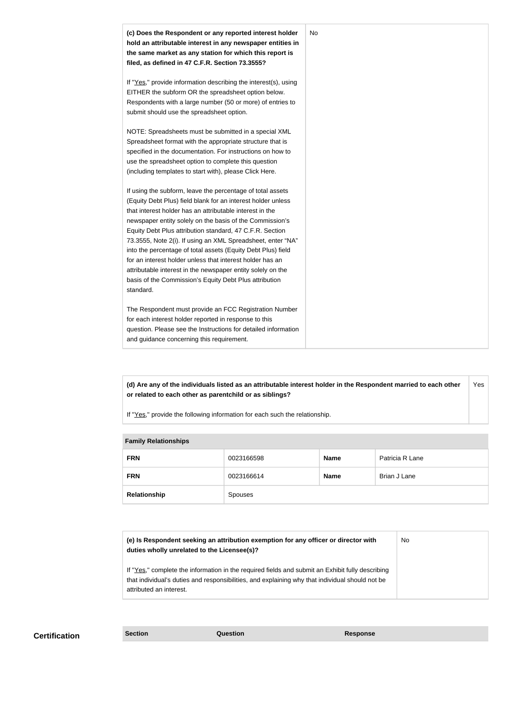

**(d) Are any of the individuals listed as an attributable interest holder in the Respondent married to each other or related to each other as parentchild or as siblings?** Yes

If "Yes," provide the following information for each such the relationship.

| <b>Family Relationships</b> |            |             |               |  |
|-----------------------------|------------|-------------|---------------|--|
| <b>FRN</b>                  | 0023166598 | <b>Name</b> | Patricia R La |  |
| <b>FRN</b>                  | 0023166614 | <b>Name</b> | Brian J Lane  |  |

| <b>Relationship</b>                         | <b>Spouses</b>                                                                      |           |  |
|---------------------------------------------|-------------------------------------------------------------------------------------|-----------|--|
|                                             |                                                                                     |           |  |
|                                             |                                                                                     |           |  |
| duties wholly unrelated to the Licensee(s)? | (e) Is Respondent seeking an attribution exemption for any officer or director with | <b>No</b> |  |

If "Yes," complete the information in the required fields and submit an Exhibit fully describing that individual's duties and responsibilities, and explaining why that individual should not be attributed an interest.

**Patricia R Lane**